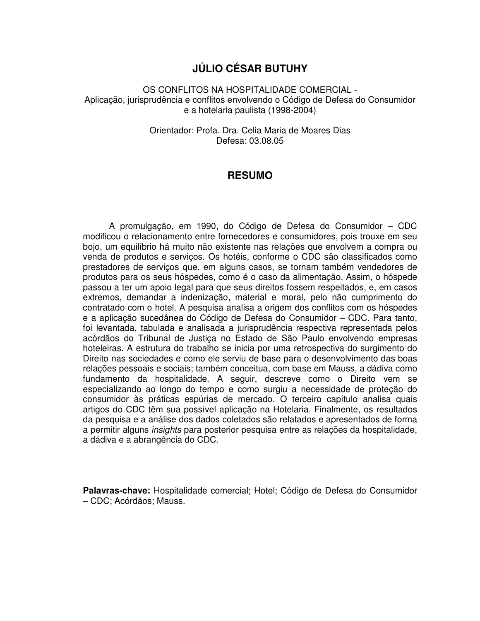## **JÚLIO CÉSAR BUTUHY**

OS CONFLITOS NA HOSPITALIDADE COMERCIAL - Aplicação, jurisprudência e conflitos envolvendo o Código de Defesa do Consumidor e a hotelaria paulista (1998-2004)

> Orientador: Profa. Dra. Celia Maria de Moares Dias Defesa: 03.08.05

## **RESUMO**

A promulgação, em 1990, do Código de Defesa do Consumidor – CDC modificou o relacionamento entre fornecedores e consumidores, pois trouxe em seu bojo, um equilíbrio há muito não existente nas relações que envolvem a compra ou venda de produtos e serviços. Os hotéis, conforme o CDC são classificados como prestadores de serviços que, em alguns casos, se tornam também vendedores de produtos para os seus hóspedes, como é o caso da alimentação. Assim, o hóspede passou a ter um apoio legal para que seus direitos fossem respeitados, e, em casos extremos, demandar a indenização, material e moral, pelo não cumprimento do contratado com o hotel. A pesquisa analisa a origem dos conflitos com os hóspedes e a aplicação sucedânea do Código de Defesa do Consumidor – CDC. Para tanto, foi levantada, tabulada e analisada a jurisprudência respectiva representada pelos acórdãos do Tribunal de Justiça no Estado de São Paulo envolvendo empresas hoteleiras. A estrutura do trabalho se inicia por uma retrospectiva do surgimento do Direito nas sociedades e como ele serviu de base para o desenvolvimento das boas relações pessoais e sociais; também conceitua, com base em Mauss, a dádiva como fundamento da hospitalidade. A seguir, descreve como o Direito vem se especializando ao longo do tempo e como surgiu a necessidade de proteção do consumidor às práticas espúrias de mercado. O terceiro capítulo analisa quais artigos do CDC têm sua possível aplicação na Hotelaria. Finalmente, os resultados da pesquisa e a análise dos dados coletados são relatados e apresentados de forma a permitir alguns *insights* para posterior pesquisa entre as relações da hospitalidade, a dádiva e a abrangência do CDC.

**Palavras-chave:** Hospitalidade comercial; Hotel; Código de Defesa do Consumidor – CDC; Acórdãos; Mauss.